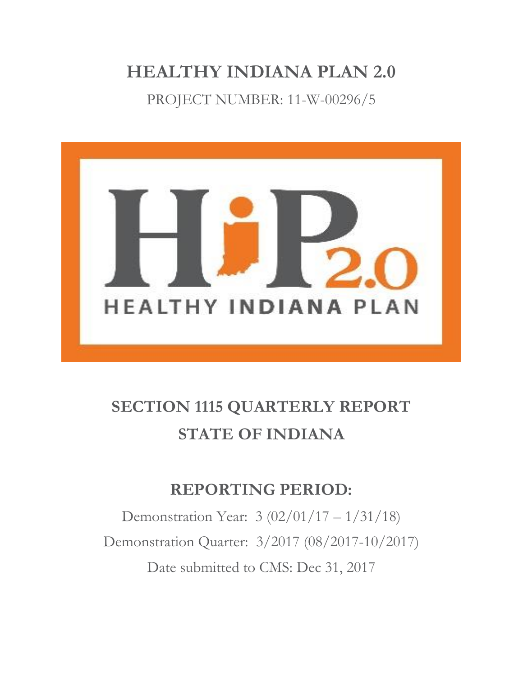# **HEALTHY INDIANA PLAN 2.0**

PROJECT NUMBER: 11-W-00296/5



# **SECTION 1115 QUARTERLY REPORT STATE OF INDIANA**

# **REPORTING PERIOD:**

Demonstration Year: 3 (02/01/17 – 1/31/18) Demonstration Quarter: 3/2017 (08/2017-10/2017) Date submitted to CMS: Dec 31, 2017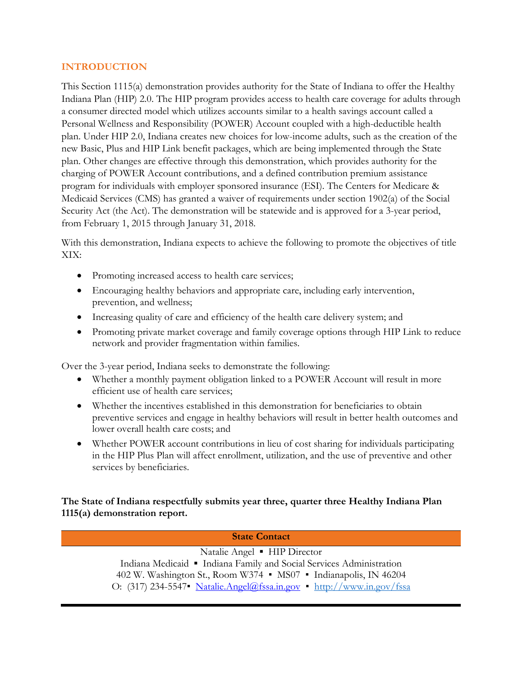#### **INTRODUCTION**

This Section 1115(a) demonstration provides authority for the State of Indiana to offer the Healthy Indiana Plan (HIP) 2.0. The HIP program provides access to health care coverage for adults through a consumer directed model which utilizes accounts similar to a health savings account called a Personal Wellness and Responsibility (POWER) Account coupled with a high-deductible health plan. Under HIP 2.0, Indiana creates new choices for low-income adults, such as the creation of the new Basic, Plus and HIP Link benefit packages, which are being implemented through the State plan. Other changes are effective through this demonstration, which provides authority for the charging of POWER Account contributions, and a defined contribution premium assistance program for individuals with employer sponsored insurance (ESI). The Centers for Medicare & Medicaid Services (CMS) has granted a waiver of requirements under section 1902(a) of the Social Security Act (the Act). The demonstration will be statewide and is approved for a 3-year period, from February 1, 2015 through January 31, 2018.

With this demonstration, Indiana expects to achieve the following to promote the objectives of title XIX:

- Promoting increased access to health care services;
- Encouraging healthy behaviors and appropriate care, including early intervention, prevention, and wellness;
- Increasing quality of care and efficiency of the health care delivery system; and
- Promoting private market coverage and family coverage options through HIP Link to reduce network and provider fragmentation within families.

Over the 3-year period, Indiana seeks to demonstrate the following:

- Whether a monthly payment obligation linked to a POWER Account will result in more efficient use of health care services;
- Whether the incentives established in this demonstration for beneficiaries to obtain preventive services and engage in healthy behaviors will result in better health outcomes and lower overall health care costs; and
- Whether POWER account contributions in lieu of cost sharing for individuals participating in the HIP Plus Plan will affect enrollment, utilization, and the use of preventive and other services by beneficiaries.

#### **The State of Indiana respectfully submits year three, quarter three Healthy Indiana Plan 1115(a) demonstration report.**

**State Contact** Natalie Angel ▪ HIP Director Indiana Medicaid ▪ Indiana Family and Social Services Administration 402 W. Washington St., Room W374 *▪* MS07 *▪* Indianapolis, IN 46204 O: (317) 234-5547*▪* [Natalie.Angel@fssa.in.gov](mailto:Natalie.Angel@fssa.in.gov) *▪* <http://www.in.gov/fssa>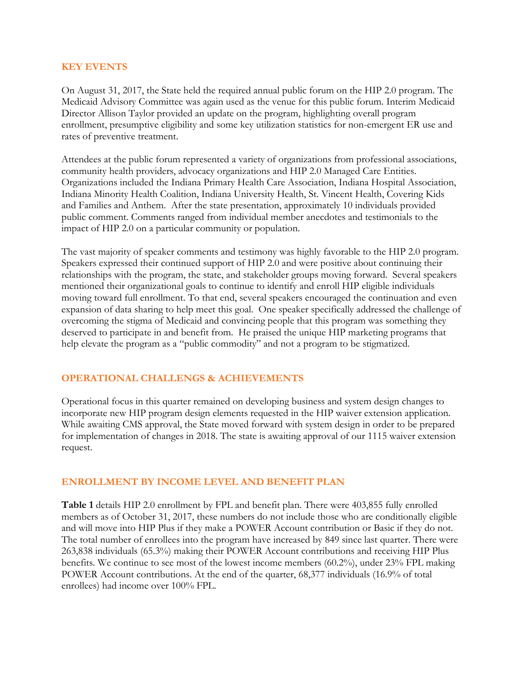#### **KEY EVENTS**

On August 31, 2017, the State held the required annual public forum on the HIP 2.0 program. The Medicaid Advisory Committee was again used as the venue for this public forum. Interim Medicaid Director Allison Taylor provided an update on the program, highlighting overall program enrollment, presumptive eligibility and some key utilization statistics for non-emergent ER use and rates of preventive treatment.

Attendees at the public forum represented a variety of organizations from professional associations, community health providers, advocacy organizations and HIP 2.0 Managed Care Entities. Organizations included the Indiana Primary Health Care Association, Indiana Hospital Association, Indiana Minority Health Coalition, Indiana University Health, St. Vincent Health, Covering Kids and Families and Anthem. After the state presentation, approximately 10 individuals provided public comment. Comments ranged from individual member anecdotes and testimonials to the impact of HIP 2.0 on a particular community or population.

The vast majority of speaker comments and testimony was highly favorable to the HIP 2.0 program. Speakers expressed their continued support of HIP 2.0 and were positive about continuing their relationships with the program, the state, and stakeholder groups moving forward. Several speakers mentioned their organizational goals to continue to identify and enroll HIP eligible individuals moving toward full enrollment. To that end, several speakers encouraged the continuation and even expansion of data sharing to help meet this goal. One speaker specifically addressed the challenge of overcoming the stigma of Medicaid and convincing people that this program was something they deserved to participate in and benefit from. He praised the unique HIP marketing programs that help elevate the program as a "public commodity" and not a program to be stigmatized.

# **OPERATIONAL CHALLENGS & ACHIEVEMENTS**

Operational focus in this quarter remained on developing business and system design changes to incorporate new HIP program design elements requested in the HIP waiver extension application. While awaiting CMS approval, the State moved forward with system design in order to be prepared for implementation of changes in 2018. The state is awaiting approval of our 1115 waiver extension request.

#### **ENROLLMENT BY INCOME LEVEL AND BENEFIT PLAN**

**Table 1** details HIP 2.0 enrollment by FPL and benefit plan. There were 403,855 fully enrolled members as of October 31, 2017, these numbers do not include those who are conditionally eligible and will move into HIP Plus if they make a POWER Account contribution or Basic if they do not. The total number of enrollees into the program have increased by 849 since last quarter. There were 263,838 individuals (65.3%) making their POWER Account contributions and receiving HIP Plus benefits. We continue to see most of the lowest income members (60.2%), under 23% FPL making POWER Account contributions. At the end of the quarter, 68,377 individuals (16.9% of total enrollees) had income over 100% FPL.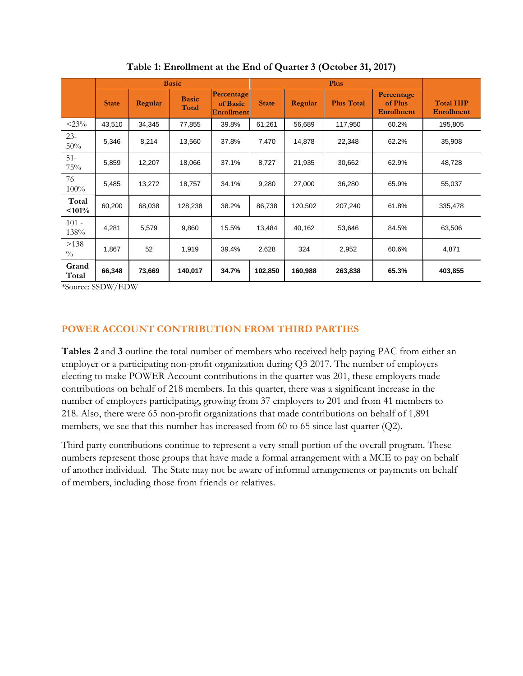|                       | <b>Basic</b> |         |                       |                                             | <b>Plus</b>  |         |                   |                                            |                                       |
|-----------------------|--------------|---------|-----------------------|---------------------------------------------|--------------|---------|-------------------|--------------------------------------------|---------------------------------------|
|                       | <b>State</b> | Regular | <b>Basic</b><br>Total | Percentage<br>of Basic<br><b>Enrollment</b> | <b>State</b> | Regular | <b>Plus Total</b> | Percentage<br>of Plus<br><b>Enrollment</b> | <b>Total HIP</b><br><b>Enrollment</b> |
| $<$ 23%               | 43,510       | 34,345  | 77,855                | 39.8%                                       | 61,261       | 56,689  | 117,950           | 60.2%                                      | 195,805                               |
| $23 -$<br>$50\%$      | 5,346        | 8,214   | 13,560                | 37.8%                                       | 7,470        | 14,878  | 22,348            | 62.2%                                      | 35,908                                |
| $51 -$<br>75%         | 5,859        | 12,207  | 18,066                | 37.1%                                       | 8,727        | 21,935  | 30,662            | 62.9%                                      | 48,728                                |
| 76-<br>100%           | 5,485        | 13,272  | 18,757                | 34.1%                                       | 9,280        | 27,000  | 36,280            | 65.9%                                      | 55,037                                |
| Total<br>$< 101\%$    | 60,200       | 68,038  | 128,238               | 38.2%                                       | 86,738       | 120,502 | 207,240           | 61.8%                                      | 335,478                               |
| $101 -$<br>138%       | 4,281        | 5,579   | 9,860                 | 15.5%                                       | 13,484       | 40,162  | 53,646            | 84.5%                                      | 63,506                                |
| >138<br>$\frac{0}{0}$ | 1,867        | 52      | 1,919                 | 39.4%                                       | 2,628        | 324     | 2,952             | 60.6%                                      | 4,871                                 |
| Grand<br>Total        | 66,348       | 73,669  | 140,017               | 34.7%                                       | 102,850      | 160,988 | 263,838           | 65.3%                                      | 403,855                               |

**Table 1: Enrollment at the End of Quarter 3 (October 31, 2017)**

\*Source: SSDW/EDW

# **POWER ACCOUNT CONTRIBUTION FROM THIRD PARTIES**

**Tables 2** and **3** outline the total number of members who received help paying PAC from either an employer or a participating non-profit organization during Q3 2017. The number of employers electing to make POWER Account contributions in the quarter was 201, these employers made contributions on behalf of 218 members. In this quarter, there was a significant increase in the number of employers participating, growing from 37 employers to 201 and from 41 members to 218. Also, there were 65 non-profit organizations that made contributions on behalf of 1,891 members, we see that this number has increased from 60 to 65 since last quarter (Q2).

Third party contributions continue to represent a very small portion of the overall program. These numbers represent those groups that have made a formal arrangement with a MCE to pay on behalf of another individual. The State may not be aware of informal arrangements or payments on behalf of members, including those from friends or relatives.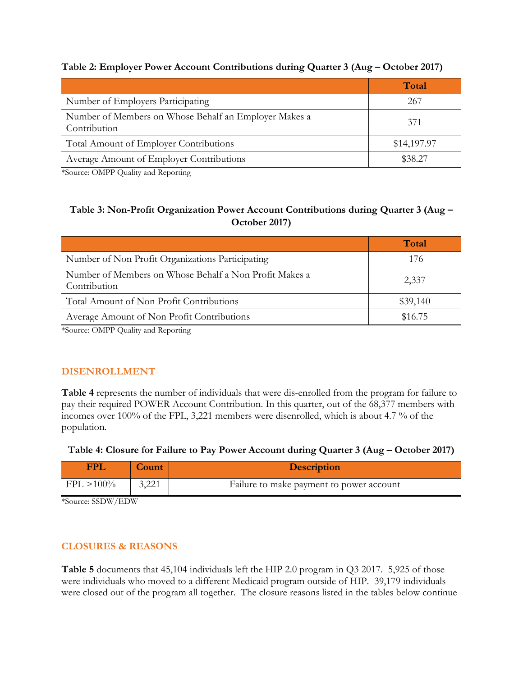### **Table 2: Employer Power Account Contributions during Quarter 3 (Aug – October 2017)**

|                                                                       | Total       |
|-----------------------------------------------------------------------|-------------|
| Number of Employers Participating                                     | 267         |
| Number of Members on Whose Behalf an Employer Makes a<br>Contribution | 371         |
| Total Amount of Employer Contributions                                | \$14,197.97 |
| Average Amount of Employer Contributions                              | \$38.27     |

\*Source: OMPP Quality and Reporting

# **Table 3: Non-Profit Organization Power Account Contributions during Quarter 3 (Aug – October 2017)**

|                                                                              | Total    |
|------------------------------------------------------------------------------|----------|
| Number of Non Profit Organizations Participating                             | 176      |
| Number of Members on Whose Behalf a Non Profit Makes a<br>Contribution       | 2,337    |
| Total Amount of Non Profit Contributions                                     | \$39,140 |
| Average Amount of Non Profit Contributions                                   | \$16.75  |
| $*CON \sim \sim \sim \sim \sim \sim \sim \sim \sim \sim \sim \sim \sim \sim$ |          |

\*Source: OMPP Quality and Reporting

# **DISENROLLMENT**

**Table 4** represents the number of individuals that were dis-enrolled from the program for failure to pay their required POWER Account Contribution. In this quarter, out of the 68,377 members with incomes over 100% of the FPL, 3,221 members were disenrolled, which is about 4.7 % of the population.

#### Table 4: Closure for Failure to Pay Power Account during Quarter 3 (Aug – October 2017)

| FPI           | <b>Count</b> | <b>Description</b>                       |
|---------------|--------------|------------------------------------------|
| $FPL > 100\%$ | 3,221        | Failure to make payment to power account |

\*Source: SSDW/EDW

# **CLOSURES & REASONS**

**Table 5** documents that 45,104 individuals left the HIP 2.0 program in Q3 2017. 5,925 of those were individuals who moved to a different Medicaid program outside of HIP. 39,179 individuals were closed out of the program all together. The closure reasons listed in the tables below continue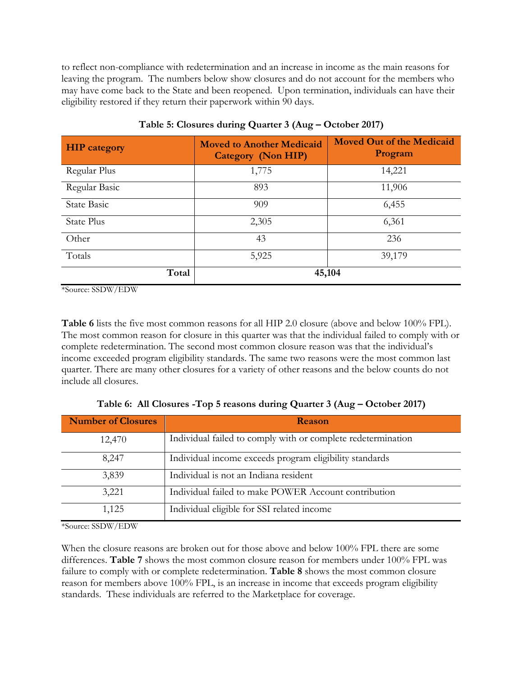to reflect non-compliance with redetermination and an increase in income as the main reasons for leaving the program. The numbers below show closures and do not account for the members who may have come back to the State and been reopened. Upon termination, individuals can have their eligibility restored if they return their paperwork within 90 days.

| <b>HIP</b> category | <b>Moved to Another Medicaid</b><br>Category (Non HIP) | <b>Moved Out of the Medicaid</b><br>Program |  |
|---------------------|--------------------------------------------------------|---------------------------------------------|--|
| Regular Plus        | 1,775                                                  | 14,221                                      |  |
| Regular Basic       | 893                                                    | 11,906                                      |  |
| <b>State Basic</b>  | 909                                                    | 6,455                                       |  |
| State Plus          | 2,305                                                  | 6,361                                       |  |
| Other               | 43                                                     | 236                                         |  |
| Totals              | 5,925                                                  | 39,179                                      |  |
| Total               |                                                        | 45,104                                      |  |

**Table 5: Closures during Quarter 3 (Aug – October 2017)**

\*Source: SSDW/EDW

**Table 6** lists the five most common reasons for all HIP 2.0 closure (above and below 100% FPL). The most common reason for closure in this quarter was that the individual failed to comply with or complete redetermination. The second most common closure reason was that the individual's income exceeded program eligibility standards. The same two reasons were the most common last quarter. There are many other closures for a variety of other reasons and the below counts do not include all closures.

| <b>Number of Closures</b> | Reason                                                       |  |  |
|---------------------------|--------------------------------------------------------------|--|--|
| 12,470                    | Individual failed to comply with or complete redetermination |  |  |
| 8,247                     | Individual income exceeds program eligibility standards      |  |  |
| 3,839                     | Individual is not an Indiana resident                        |  |  |
| 3,221                     | Individual failed to make POWER Account contribution         |  |  |
| 1,125                     | Individual eligible for SSI related income                   |  |  |

Table 6: All Closures -Top 5 reasons during Quarter 3 (Aug – October 2017)

\*Source: SSDW/EDW

When the closure reasons are broken out for those above and below 100% FPL there are some differences. **Table 7** shows the most common closure reason for members under 100% FPL was failure to comply with or complete redetermination. **Table 8** shows the most common closure reason for members above 100% FPL, is an increase in income that exceeds program eligibility standards. These individuals are referred to the Marketplace for coverage.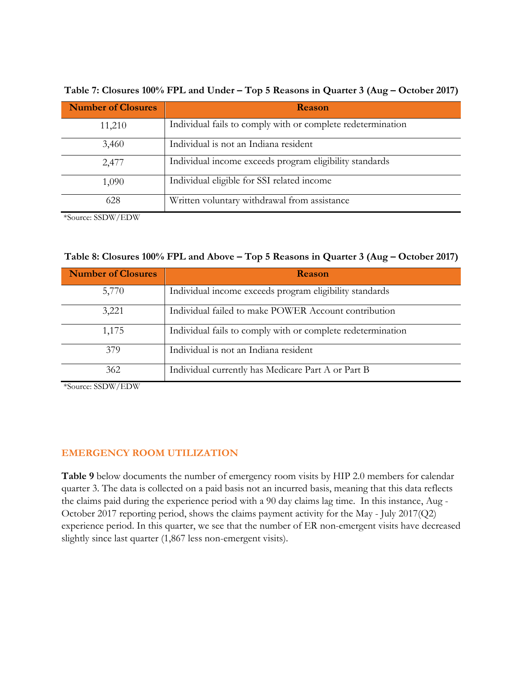| <b>Number of Closures</b> | Reason                                                      |
|---------------------------|-------------------------------------------------------------|
| 11,210                    | Individual fails to comply with or complete redetermination |
| 3,460                     | Individual is not an Indiana resident                       |
| 2,477                     | Individual income exceeds program eligibility standards     |
| 1,090                     | Individual eligible for SSI related income                  |
| 628                       | Written voluntary withdrawal from assistance                |

**Table 7: Closures 100% FPL and Under – Top 5 Reasons in Quarter 3 (Aug – October 2017)**

\*Source: SSDW/EDW

| <b>Number of Closures</b> | Reason                                                      |  |  |  |
|---------------------------|-------------------------------------------------------------|--|--|--|
| 5,770                     | Individual income exceeds program eligibility standards     |  |  |  |
| 3,221                     | Individual failed to make POWER Account contribution        |  |  |  |
| 1,175                     | Individual fails to comply with or complete redetermination |  |  |  |
| 379                       | Individual is not an Indiana resident                       |  |  |  |
| 362                       | Individual currently has Medicare Part A or Part B          |  |  |  |

\*Source: SSDW/EDW

#### **EMERGENCY ROOM UTILIZATION**

**Table 9** below documents the number of emergency room visits by HIP 2.0 members for calendar quarter 3. The data is collected on a paid basis not an incurred basis, meaning that this data reflects the claims paid during the experience period with a 90 day claims lag time. In this instance, Aug - October 2017 reporting period, shows the claims payment activity for the May - July 2017(Q2) experience period. In this quarter, we see that the number of ER non-emergent visits have decreased slightly since last quarter (1,867 less non-emergent visits).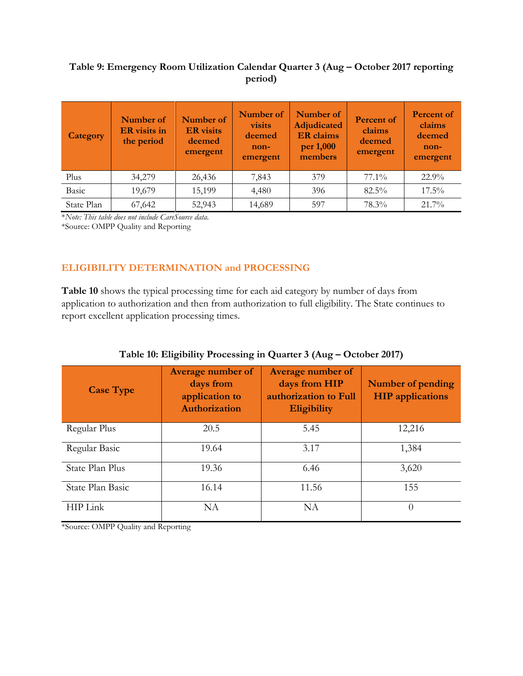# **Table 9: Emergency Room Utilization Calendar Quarter 3 (Aug – October 2017 reporting period)**

| Category   | Number of<br>ER visits in<br>the period | Number of<br><b>ER</b> visits<br>deemed<br>emergent | Number of<br>visits<br>deemed<br>non-<br>emergent | Number of<br><b>Adjudicated</b><br><b>ER</b> claims<br>per 1,000<br>members | <b>Percent of</b><br>claims<br>deemed<br>emergent | <b>Percent of</b><br>claims<br>deemed<br>non-<br>emergent |
|------------|-----------------------------------------|-----------------------------------------------------|---------------------------------------------------|-----------------------------------------------------------------------------|---------------------------------------------------|-----------------------------------------------------------|
| Plus       | 34,279                                  | 26,436                                              | 7,843                                             | 379                                                                         | $77.1\%$                                          | $22.9\%$                                                  |
| Basic      | 19,679                                  | 15,199                                              | 4,480                                             | 396                                                                         | $82.5\%$                                          | $17.5\%$                                                  |
| State Plan | 67,642                                  | 52,943                                              | 14,689                                            | 597                                                                         | 78.3%                                             | 21.7%                                                     |

\**Note: This table does not include CareSource data.*

\*Source: OMPP Quality and Reporting

# **ELIGIBILITY DETERMINATION and PROCESSING**

**Table 10** shows the typical processing time for each aid category by number of days from application to authorization and then from authorization to full eligibility. The State continues to report excellent application processing times.

| <b>Case Type</b> | <b>Average number of</b><br>days from<br>application to<br>Authorization | <b>Average number of</b><br>days from HIP<br>authorization to Full<br><b>Eligibility</b> | <b>Number of pending</b><br><b>HIP</b> applications |  |
|------------------|--------------------------------------------------------------------------|------------------------------------------------------------------------------------------|-----------------------------------------------------|--|
| Regular Plus     | 20.5                                                                     | 5.45                                                                                     | 12,216                                              |  |
| Regular Basic    | 19.64                                                                    | 3.17                                                                                     | 1,384                                               |  |
| State Plan Plus  | 19.36                                                                    | 6.46                                                                                     | 3,620                                               |  |
| State Plan Basic | 16.14                                                                    | 11.56                                                                                    | 155                                                 |  |
| HIP Link         | NA                                                                       | NA                                                                                       | $\Omega$                                            |  |

|  |  | Table 10: Eligibility Processing in Quarter 3 (Aug - October 2017) |
|--|--|--------------------------------------------------------------------|
|  |  |                                                                    |

\*Source: OMPP Quality and Reporting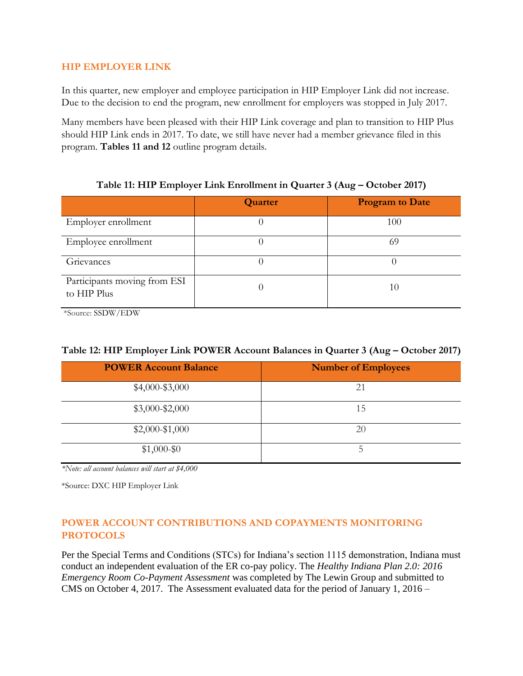#### **HIP EMPLOYER LINK**

In this quarter, new employer and employee participation in HIP Employer Link did not increase. Due to the decision to end the program, new enrollment for employers was stopped in July 2017.

Many members have been pleased with their HIP Link coverage and plan to transition to HIP Plus should HIP Link ends in 2017. To date, we still have never had a member grievance filed in this program. **Tables 11 and 12** outline program details.

# **Table 11: HIP Employer Link Enrollment in Quarter 3 (Aug – October 2017)**

|                                             | Quarter | <b>Program to Date</b> |
|---------------------------------------------|---------|------------------------|
| Employer enrollment                         |         | 100                    |
| Employee enrollment                         |         | 69                     |
| Grievances                                  |         |                        |
| Participants moving from ESI<br>to HIP Plus |         | 10                     |

\*Source: SSDW/EDW

| <b>POWER Account Balance</b> | <b>Number of Employees</b> |
|------------------------------|----------------------------|
| $$4,000-\$3,000$             | 21                         |
| $$3,000-\$2,000$             | 15                         |
| $$2,000-\$1,000$             | 20                         |
| $$1,000-$0$                  |                            |

*\*Note: all account balances will start at \$4,000* 

\*Source: DXC HIP Employer Link

# **POWER ACCOUNT CONTRIBUTIONS AND COPAYMENTS MONITORING PROTOCOLS**

Per the Special Terms and Conditions (STCs) for Indiana's section 1115 demonstration, Indiana must conduct an independent evaluation of the ER co-pay policy. The *Healthy Indiana Plan 2.0: 2016 Emergency Room Co-Payment Assessment* was completed by The Lewin Group and submitted to CMS on October 4, 2017. The Assessment evaluated data for the period of January 1, 2016 –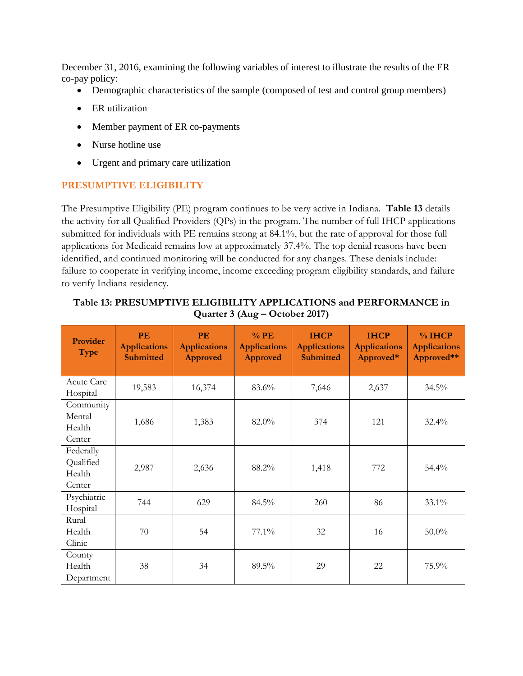December 31, 2016, examining the following variables of interest to illustrate the results of the ER co-pay policy:

- Demographic characteristics of the sample (composed of test and control group members)
- ER utilization
- Member payment of ER co-payments
- Nurse hotline use
- Urgent and primary care utilization

# **PRESUMPTIVE ELIGIBILITY**

The Presumptive Eligibility (PE) program continues to be very active in Indiana. **Table 13** details the activity for all Qualified Providers (QPs) in the program. The number of full IHCP applications submitted for individuals with PE remains strong at 84.1%, but the rate of approval for those full applications for Medicaid remains low at approximately 37.4%. The top denial reasons have been identified, and continued monitoring will be conducted for any changes. These denials include: failure to cooperate in verifying income, income exceeding program eligibility standards, and failure to verify Indiana residency.

| Provider<br><b>Type</b>                    | PE<br><b>Applications</b><br><b>Submitted</b> | <b>PE</b><br><b>Applications</b><br><b>Approved</b> | $%$ PE<br><b>Applications</b><br>Approved | <b>IHCP</b><br><b>Applications</b><br><b>Submitted</b> | <b>IHCP</b><br><b>Applications</b><br>Approved* | % IHCP<br><b>Applications</b><br>Approved** |
|--------------------------------------------|-----------------------------------------------|-----------------------------------------------------|-------------------------------------------|--------------------------------------------------------|-------------------------------------------------|---------------------------------------------|
| Acute Care<br>Hospital                     | 19,583                                        | 16,374                                              | 83.6%                                     | 7,646                                                  | 2,637                                           | 34.5%                                       |
| Community<br>Mental<br>Health<br>Center    | 1,686                                         | 1,383                                               | 82.0%                                     | 374                                                    | 121                                             | $32.4\%$                                    |
| Federally<br>Qualified<br>Health<br>Center | 2,987                                         | 2,636                                               | 88.2%                                     | 1,418                                                  | 772                                             | 54.4%                                       |
| Psychiatric<br>Hospital                    | 744                                           | 629                                                 | $84.5\%$                                  | 260                                                    | 86                                              | $33.1\%$                                    |
| Rural<br>Health<br>Clinic                  | 70                                            | 54                                                  | $77.1\%$                                  | 32                                                     | 16                                              | $50.0\%$                                    |
| County<br>Health<br>Department             | 38                                            | 34                                                  | 89.5%                                     | 29                                                     | 22                                              | 75.9%                                       |

#### **Table 13: PRESUMPTIVE ELIGIBILITY APPLICATIONS and PERFORMANCE in Quarter 3 (Aug – October 2017)**